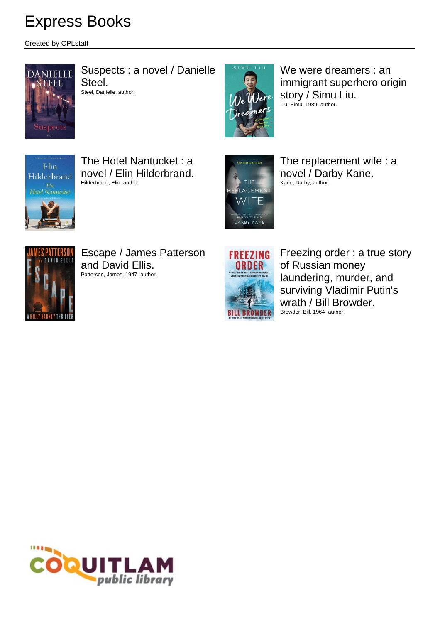Created by CPLstaff



Suspects : a novel / Danielle Steel.

Steel, Danielle, author.



We were dreamers : an immigrant superhero origin story / Simu Liu. Liu, Simu, 1989- author.



The Hotel Nantucket : a novel / Elin Hilderbrand. Hilderbrand, Elin, author.



The replacement wife : a novel / Darby Kane. Kane, Darby, author.



Escape / James Patterson and David Ellis. Patterson, James, 1947- author.



Freezing order : a true story of Russian money laundering, murder, and surviving Vladimir Putin's wrath / Bill Browder. Browder, Bill, 1964- author.

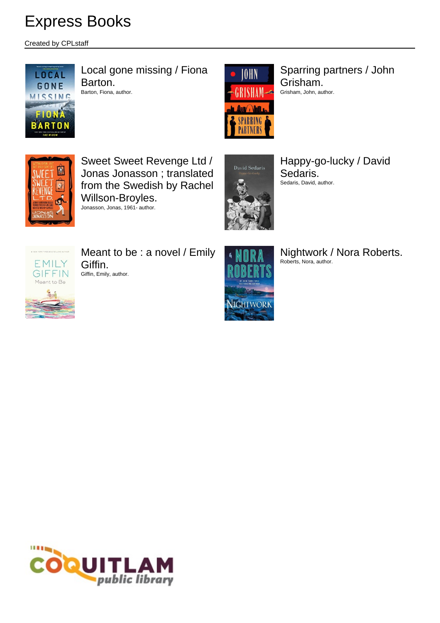Created by CPLstaff



Local gone missing / Fiona Barton. Barton, Fiona, author.



Sparring partners / John Grisham. Grisham, John, author.



Sweet Sweet Revenge Ltd / Jonas Jonasson ; translated from the Swedish by Rachel Willson-Broyles. Jonasson, Jonas, 1961- author.



Happy-go-lucky / David Sedaris. Sedaris, David, author.



Meant to be : a novel / Emily Giffin. Giffin, Emily, author.



Nightwork / Nora Roberts. Roberts, Nora, author.

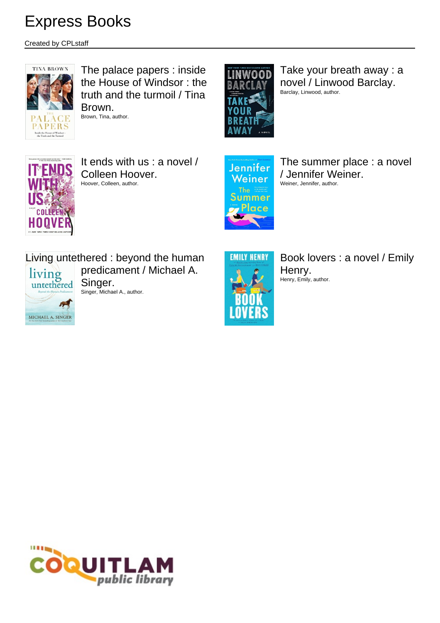Created by CPLstaff



The palace papers : inside the House of Windsor : the truth and the turmoil / Tina Brown.

Brown, Tina, author.



Take your breath away : a novel / Linwood Barclay. Barclay, Linwood, author.



It ends with us : a novel / Colleen Hoover. Hoover, Colleen, author.



The summer place : a novel / Jennifer Weiner. Weiner, Jennifer, author.

Living untethered : beyond the human predicament / Michael A.

living<br>untethered **And** MICHAEL A. SINGER

Singer.





Book lovers : a novel / Emily Henry. Henry, Emily, author.

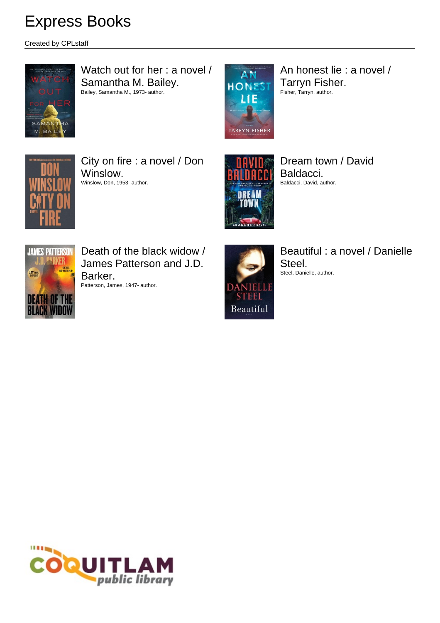Created by CPLstaff



Watch out for her : a novel / Samantha M. Bailey. Bailey, Samantha M., 1973- author.



An honest lie : a novel / Tarryn Fisher. Fisher, Tarryn, author.



City on fire : a novel / Don Winslow. Winslow, Don, 1953- author.



Dream town / David Baldacci. Baldacci, David, author.



Death of the black widow / James Patterson and J.D. Barker.

Patterson, James, 1947- author.



Beautiful : a novel / Danielle Steel. Steel, Danielle, author.

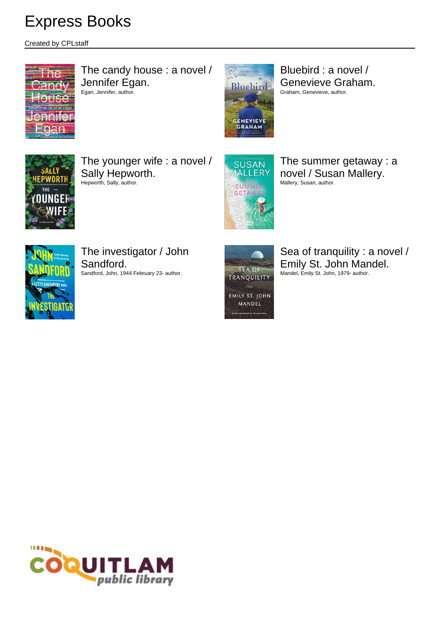Created by CPLstaff



The candy house : a novel / Jennifer Egan. Egan, Jennifer, author.



Bluebird : a novel / Genevieve Graham. Graham, Genevieve, author.



The younger wife : a novel / Sally Hepworth. Hepworth, Sally, author.



The summer getaway : a novel / Susan Mallery. Mallery, Susan, author.



The investigator / John Sandford. Sandford, John, 1944 February 23- author.



Sea of tranquility : a novel / Emily St. John Mandel. Mandel, Emily St. John, 1979- author.

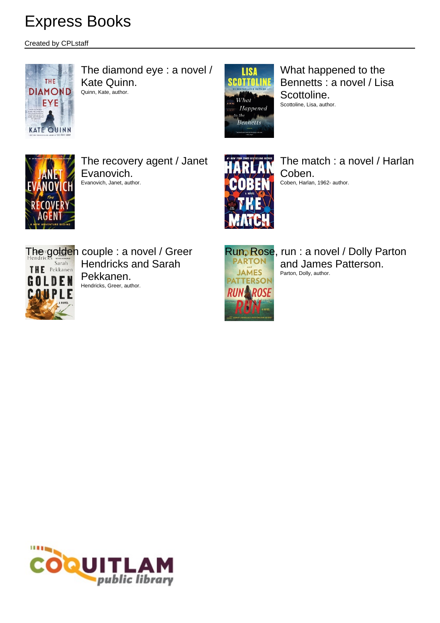Created by CPLstaff



The diamond eye : a novel / Kate Quinn. Quinn, Kate, author.



What happened to the Bennetts : a novel / Lisa Scottoline. Scottoline, Lisa, author.



The recovery agent / Janet Evanovich. Evanovich, Janet, author.



The match : a novel / Harlan Coben. Coben, Harlan, 1962- author.



The golden couple : a novel / Greer Hendricks and Sarah Pekkanen. Hendricks, Greer, author.



Run, Rose, run : a novel / Dolly Parton and James Patterson. Parton, Dolly, author.